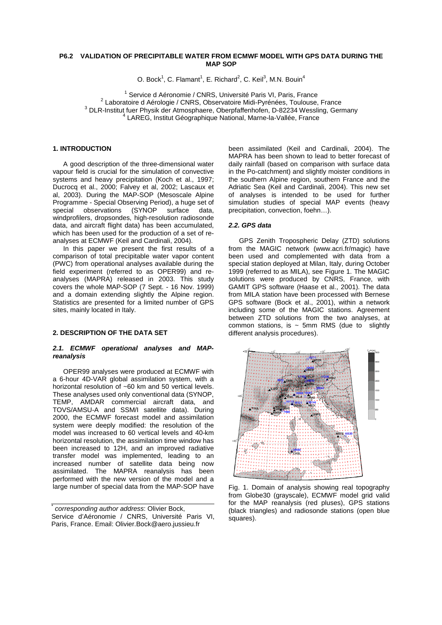# **P6.2 VALIDATION OF PRECIPITABLE WATER FROM ECMWF MODEL WITH GPS DATA DURING THE MAP SOP**

O. Bock<sup>1</sup>, C. Flamant<sup>1</sup>, E. Richard<sup>2</sup>, C. Keil<sup>3</sup>, M.N. Bouin<sup>4</sup>

<sup>1</sup> Service d Aéronomie / CNRS, Université Paris VI, Paris, France <sup>2</sup> Laboratoire d Aérologie / CNRS, Observatoire Midi-Pyrénées, Toulouse, France <sup>3</sup> DLR-Institut fuer Physik der Atmosphaere, Oberpfaffenhofen, D-82234 Wessling, Germany 4 LAREG, Institut Géographique National, Marne-la-Vallée, France

### **1. INTRODUCTION**

A good description of the three-dimensional water vapour field is crucial for the simulation of convective systems and heavy precipitation (Koch et al., 1997; Ducrocq et al., 2000; Falvey et al, 2002; Lascaux et al, 2003). During the MAP-SOP (Mesoscale Alpine Programme - Special Observing Period), a huge set of special observations (SYNOP surface data, windprofilers, dropsondes, high-resolution radiosonde data, and aircraft flight data) has been accumulated, which has been used for the production of a set of reanalyses at ECMWF (Keil and Cardinali, 2004).

In this paper we present the first results of a comparison of total precipitable water vapor content (PWC) from operational analyses available during the field experiment (referred to as OPER99) and reanalyses (MAPRA) released in 2003. This study covers the whole MAP-SOP (7 Sept. - 16 Nov. 1999) and a domain extending slightly the Alpine region. Statistics are presented for a limited number of GPS sites, mainly located in Italy.

### **2. DESCRIPTION OF THE DATA SET**

#### **2.1. ECMWF operational analyses and MAPreanalysis**

OPER99 analyses were produced at ECMWF with a 6-hour 4D-VAR global assimilation system, with a horizontal resolution of ~60 km and 50 vertical levels. These analyses used only conventional data (SYNOP, TEMP, AMDAR commercial aircraft data, and TOVS/AMSU-A and SSM/I satellite data). During 2000, the ECMWF forecast model and assimilation system were deeply modified: the resolution of the model was increased to 60 vertical levels and 40-km horizontal resolution, the assimilation time window has been increased to 12H, and an improved radiative transfer model was implemented, leading to an increased number of satellite data being now assimilated. The MAPRA reanalysis has been performed with the new version of the model and a large number of special data from the MAP-SOP have

\* corresponding author address: Olivier Bock, Service d'Aéronomie / CNRS, Université Paris VI, Paris, France. Email: Olivier.Bock@aero.jussieu.fr

been assimilated (Keil and Cardinali, 2004). The MAPRA has been shown to lead to better forecast of daily rainfall (based on comparison with surface data in the Po-catchment) and slightly moister conditions in the southern Alpine region, southern France and the Adriatic Sea (Keil and Cardinali, 2004). This new set of analyses is intended to be used for further simulation studies of special MAP events (heavy precipitation, convection, foehn…).

# **2.2. GPS data**

GPS Zenith Tropospheric Delay (ZTD) solutions from the MAGIC network (www.acri.fr/magic) have been used and complemented with data from a special station deployed at Milan, Italy, during October 1999 (referred to as MILA), see Figure 1. The MAGIC solutions were produced by CNRS, France, with GAMIT GPS software (Haase et al., 2001). The data from MILA station have been processed with Bernese GPS software (Bock et al., 2001), within a network including some of the MAGIC stations. Agreement between ZTD solutions from the two analyses, at common stations, is  $\sim$  5mm RMS (due to slightly different analysis procedures).



Fig. 1. Domain of analysis showing real topography from Globe30 (grayscale), ECMWF model grid valid for the MAP reanalysis (red pluses), GPS stations (black triangles) and radiosonde stations (open blue squares).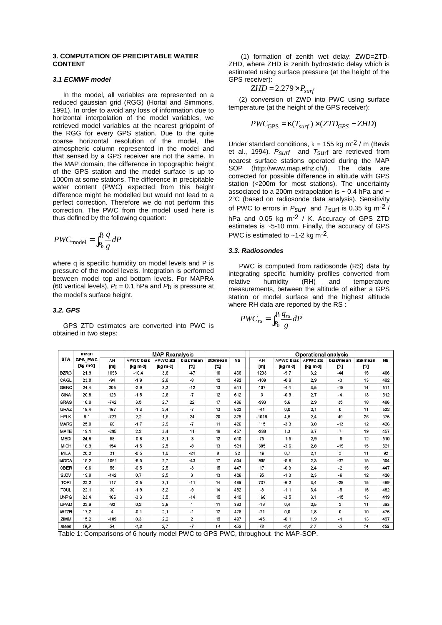### **3. COMPUTATION OF PRECIPITABLE WATER CONTENT**

# **3.1 ECMWF model**

In the model, all variables are represented on a reduced gaussian grid (RGG) (Hortal and Simmons, 1991). In order to avoid any loss of information due to horizontal interpolation of the model variables, we retrieved model variables at the nearest gridpoint of the RGG for every GPS station. Due to the quite coarse horizontal resolution of the model, the atmospheric column represented in the model and that sensed by a GPS receiver are not the same. In the MAP domain, the difference in topographic height of the GPS station and the model surface is up to 1000m at some stations. The difference in precipitable water content (PWC) expected from this height difference might be modelled but would not lead to a perfect correction. Therefore we do not perform this correction. The PWC from the model used here is thus defined by the following equation:

$$
PWC_{\text{model}} = \int_{P_b}^{P_t} \frac{q}{g} dP
$$

where q is specific humidity on model levels and P is pressure of the model levels. Integration is performed between model top and bottom levels. For MAPRA (60 vertical levels),  $P_t = 0.1$  hPa and  $P_b$  is pressure at the model's surface height.

#### **3.2. GPS**

GPS ZTD estimates are converted into PWC is obtained in two steps:

(1) formation of zenith wet delay: ZWD=ZTD-ZHD, where ZHD is zenith hydrostatic delay which is estimated using surface pressure (at the height of the GPS receiver):

$$
ZHD = 2.279 \times P_{surf}
$$

(2) conversion of ZWD into PWC using surface temperature (at the height of the GPS receiver):

$$
PWC_{\text{GPS}} = \kappa(T_{\text{surf}}) \times (ZTD_{\text{GPS}} - ZHD)
$$

Under standard conditions,  $k = 155$  kg m<sup>-2</sup> / m (Bevis et al., 1994).  $P_{Suff}$  and  $T_{Suff}$  are retrieved from nearest surface stations operated during the MAP SOP (http://www.map.ethz.ch/). The data are corrected for possible difference in altitude with GPS station (<200m for most stations). The uncertainty associated to a 200m extrapolation is  $\sim$  0.4 hPa and  $\sim$ 2°C (based on radiosonde data analysis). Sensitivity of PWC to errors in  $P_{\text{Suff}}$  and  $T_{\text{Suff}}$  is 0.35 kg m<sup>-2</sup> / hPa and 0.05 kg m<sup>-2</sup> / K. Accuracy of GPS ZTD estimates is ~5-10 mm. Finally, the accuracy of GPS PWC is estimated to  $~1$ -2 kg m<sup>-2</sup>.

#### **3.3. Radiosondes**

PWC is computed from radiosonde (RS) data by integrating specific humidity profiles converted from relative humidity (RH) and temperature measurements, between the altitude of either a GPS station or model surface and the highest altitude where RH data are reported by the RS :

$$
PWC_{rs} = \int_{P_0}^{P_1} \frac{q_{rs}}{g} dP
$$

|             | mean       | <b>MAP Reanalysis</b> |                  |          |                  |          |           | <b>Operational analysis</b> |                  |          |                         |          |           |
|-------------|------------|-----------------------|------------------|----------|------------------|----------|-----------|-----------------------------|------------------|----------|-------------------------|----------|-----------|
| <b>STA</b>  | GPS PWC    | ΛH                    | <b>APWC bias</b> | ∧PWC std | <b>bias/mean</b> | std/mean | <b>Nb</b> | ΔH                          | <b>APWC bias</b> | ∧PWC std | bias/mean               | std/mean | <b>Nb</b> |
|             | $[kq m-2]$ | [m]                   | [kg m-2]         | [kg m-2] | r%               | r%l      |           | [m]                         | [kg m-2]         | [kg m-2] | $P_{\alpha}$            | r%       |           |
| <b>BZRG</b> | 21.9       | 1095                  | $-10.4$          | 3,6      | $-47$            | 16       | 466       | 1203                        | $-9.7$           | 3.2      | $-44$                   | 15       | 466       |
| CAGL        | 23.0       | $-94$                 | $-1,9$           | 2,8      | -8               | 12       | 492       | $-109$                      | $-0.8$           | 2,9      | $-3$                    | 13       | 492       |
| GENO        | 24.4       | 205                   | $-2,9$           | 3,3      | $-12$            | 13       | 511       | 407                         | $-4,4$           | 3,5      | $-18$                   | 14       | 511       |
| GINA        | 20,8       | 123                   | $-1,5$           | 2,6      | -7               | 12       | 512       | 3                           | $-0.9$           | 2.7      | $-4$                    | 13       | 512       |
| <b>GRAS</b> | 16.0       | $-742$                | 3,5              | 2.7      | 22               | 17       | 486       | -993                        | 5.6              | 2.9      | 35                      | 18       | 486       |
| GRAZ        | 18.4       | 167                   | $-1,3$           | 2,4      | $-7$             | 13       | 522       | $-41$                       | 0.0              | 2,1      | 0                       | 11       | 522       |
| <b>HFLK</b> | 9,1        | $-727$                | 2,2              | 1,8      | 24               | 20       | 375       | $-1019$                     | 4,5              | 2,4      | 49                      | 26       | 375       |
| <b>MARS</b> | 25.8       | 60                    | $-1,7$           | 2,9      | $-7$             | 11       | 426       | 115                         | $-3,3$           | 3,0      | $-13$                   | 12       | 426       |
| <b>MATE</b> | 19.1       | $-295$                | 2,2              | 3,4      | 11               | 18       | 457       | $-288$                      | 1,3              | 3.7      | $\overline{7}$          | 19       | 457       |
| <b>MEDI</b> | 24,8       | 58                    | $-0,8$           | 3,1      | $-3$             | 12       | 510       | 75                          | $-1,5$           | 2,9      | $-6$                    | 12       | 510       |
| <b>MICH</b> | 18.9       | 154                   | $-1,5$           | 2,5      | -8               | 13       | 521       | 385                         | $-3,6$           | 2,8      | $-19$                   | 15       | 521       |
| MILA        | 20.2       | 31                    | $-0.5$           | 1,9      | $-24$            | 9        | 92        | 16                          | 0.7              | 2.1      | 3                       | 11       | 92        |
| <b>MODA</b> | 15.2       | 1061                  | $-6.5$           | 2,7      | $-43$            | 17       | 504       | 905                         | $-5.6$           | 2.3      | $-37$                   | 15       | 504       |
| OBER        | 16,6       | 56                    | $-0,5$           | 2,5      | $-3$             | 15       | 447       | 17                          | $-0,3$           | 2,4      | $-2$                    | 15       | 447       |
| SJDV        | 19.8       | $-142$                | 0,7              | 2,5      | 3                | 13       | 426       | 95                          | $-1,3$           | 2,3      | -6                      | 12       | 426       |
| <b>TORI</b> | 22,2       | 117                   | $-2,5$           | 3,1      | $-11$            | 14       | 489       | 737                         | $-6,2$           | 3,4      | $-28$                   | 15       | 489       |
| <b>TOUL</b> | 22,1       | 30                    | $-1,9$           | 3,2      | -9               | 14       | 482       | -8                          | $-1,1$           | 3,4      | $-5$                    | 15       | 482       |
| <b>UNPG</b> | 23,4       | 166                   | $-3,3$           | 3,5      | $-14$            | 15       | 419       | 166                         | $-3,5$           | 3,1      | $-15$                   | 13       | 419       |
| <b>UPAD</b> | 22.9       | $-92$                 | 0,2              | 2,6      | 1                | 11       | 393       | $-19$                       | 0.4              | 2,5      | $\overline{\mathbf{2}}$ | 11       | 393       |
| <b>WTZR</b> | 17,2       | 4                     | $-0,1$           | 2,1      | $-1$             | 12       | 476       | $-71$                       | 0.0              | 1.8      | 0                       | 10       | 476       |
| ZIMM        | 15,2       | $-109$                | 0,3              | 2,2      | $\overline{a}$   | 15       | 497       | $-45$                       | $-0,1$           | 1,9      | $-1$                    | 13       | 497       |
| mean        | 19,9       | 54                    | $-1,3$           | 2, 7     | $-7$             | 14       | 453       | 73                          | $-1, 4$          | 2,7      | $\sim$                  | 14       | 453       |

Table 1: Comparisons of 6 hourly model PWC to GPS PWC, throughout the MAP-SOP.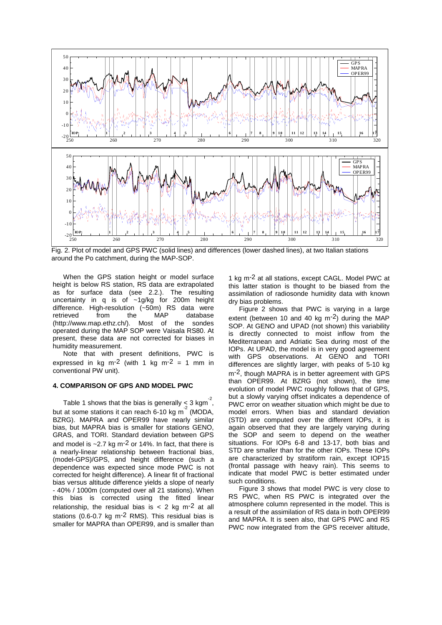

Fig. 2. Plot of model and GPS PWC (solid lines) and differences (lower dashed lines), at two Italian stations around the Po catchment, during the MAP-SOP.

When the GPS station height or model surface height is below RS station, RS data are extrapolated as for surface data (see 2.2.). The resulting uncertainty in q is of ~1g/kg for 200m height difference. High-resolution (~50m) RS data were retrieved from the MAP database (http://www.map.ethz.ch/). Most of the sondes operated during the MAP SOP were Vaisala RS80. At present, these data are not corrected for biases in humidity measurement.

Note that with present definitions, PWC is expressed in kg m<sup>-2</sup> (with 1 kg m<sup>-2</sup> = 1 mm in conventional PW unit).

# **4. COMPARISON OF GPS AND MODEL PWC**

Table 1 shows that the bias is generally < 3 kgm<sup>-2</sup>, but at some stations it can reach 6-10 kg m<sup>-2</sup> (MODA, BZRG). MAPRA and OPER99 have nearly similar bias, but MAPRA bias is smaller for stations GENO, GRAS, and TORI. Standard deviation between GPS and model is  $\approx$  2.7 kg m<sup>-2</sup> or 14%. In fact, that there is a nearly-linear relationship between fractional bias, (model-GPS)/GPS, and height difference (such a dependence was expected since mode PWC is not corrected for height difference). A linear fit of fractional bias versus altitude difference yields a slope of nearly - 40% / 1000m (computed over all 21 stations). When this bias is corrected using the fitted linear relationship, the residual bias is  $< 2$  kg m<sup>-2</sup> at all stations (0.6-0.7 kg m-2 RMS). This residual bias is smaller for MAPRA than OPER99, and is smaller than 1 kg m-2 at all stations, except CAGL. Model PWC at this latter station is thought to be biased from the assimilation of radiosonde humidity data with known dry bias problems.

Figure 2 shows that PWC is varying in a large extent (between 10 and 40 kg m-2) during the MAP SOP. At GENO and UPAD (not shown) this variability is directly connected to moist inflow from the Mediterranean and Adriatic Sea during most of the IOPs. At UPAD, the model is in very good agreement with GPS observations. At GENO and TORI differences are slightly larger, with peaks of 5-10 kg m<sup>-2</sup>, though MAPRA is in better agreement with GPS than OPER99. At BZRG (not shown), the time evolution of model PWC roughly follows that of GPS, but a slowly varying offset indicates a dependence of PWC error on weather situation which might be due to model errors. When bias and standard deviation (STD) are computed over the different IOPs, it is again observed that they are largely varying during the SOP and seem to depend on the weather situations. For IOPs 6-8 and 13-17, both bias and STD are smaller than for the other IOPs. These IOPs are characterized by stratiform rain, except IOP15 (frontal passage with heavy rain). This seems to indicate that model PWC is better estimated under such conditions.

Figure 3 shows that model PWC is very close to RS PWC, when RS PWC is integrated over the atmosphere column represented in the model. This is a result of the assimilation of RS data in both OPER99 and MAPRA. It is seen also, that GPS PWC and RS PWC now integrated from the GPS receiver altitude,